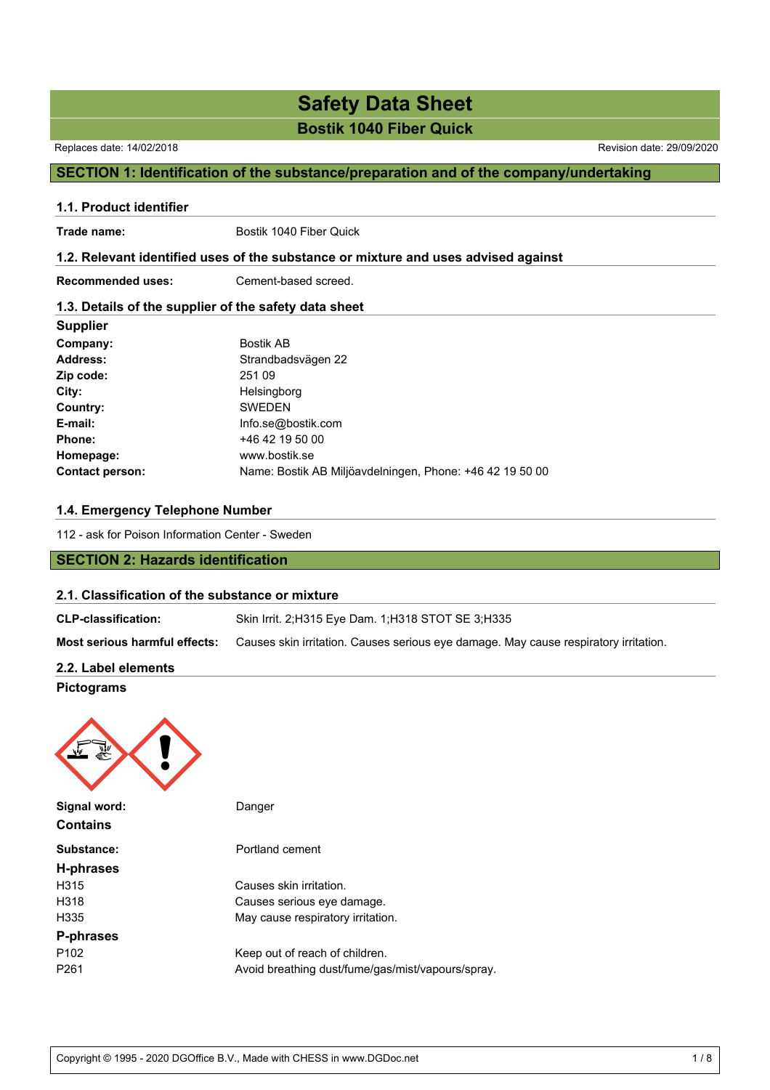# **Safety Data Sheet**

**Bostik 1040 Fiber Quick**

### Replaces date: 14/02/2018 Revision date: 29/09/2020

## **SECTION 1: Identification of the substance/preparation and of the company/undertaking**

# **1.1. Product identifier** Trade name: Bostik 1040 Fiber Quick **1.2. Relevant identified uses of the substance or mixture and uses advised against Recommended uses:** Cement-based screed.

### **1.3. Details of the supplier of the safety data sheet**

| <b>Supplier</b>        |                                                          |
|------------------------|----------------------------------------------------------|
| Company:               | <b>Bostik AB</b>                                         |
| <b>Address:</b>        | Strandbadsvägen 22                                       |
| Zip code:              | 251 09                                                   |
| City:                  | Helsingborg                                              |
| Country:               | <b>SWEDEN</b>                                            |
| E-mail:                | Info.se@bostik.com                                       |
| Phone:                 | +46 42 19 50 00                                          |
| Homepage:              | www.bostik.se                                            |
| <b>Contact person:</b> | Name: Bostik AB Miljöavdelningen, Phone: +46 42 19 50 00 |

### **1.4. Emergency Telephone Number**

112 - ask for Poison Information Center - Sweden

## **SECTION 2: Hazards identification**

### **2.1. Classification of the substance or mixture**

| <b>CLP-classification:</b>    | Skin Irrit. 2:H315 Eye Dam. 1:H318 STOT SE 3:H335                                    |
|-------------------------------|--------------------------------------------------------------------------------------|
| Most serious harmful effects: | Causes skin irritation. Causes serious eye damage. May cause respiratory irritation. |
| 2.2. Label elements           |                                                                                      |

## **Pictograms**



| Signal word:<br><b>Contains</b> | Danger                                            |
|---------------------------------|---------------------------------------------------|
| Substance:                      | Portland cement                                   |
| H-phrases                       |                                                   |
| H <sub>315</sub>                | Causes skin irritation.                           |
| H318                            | Causes serious eye damage.                        |
| H <sub>335</sub>                | May cause respiratory irritation.                 |
| P-phrases                       |                                                   |
| P <sub>102</sub>                | Keep out of reach of children.                    |
| P <sub>261</sub>                | Avoid breathing dust/fume/gas/mist/vapours/spray. |
|                                 |                                                   |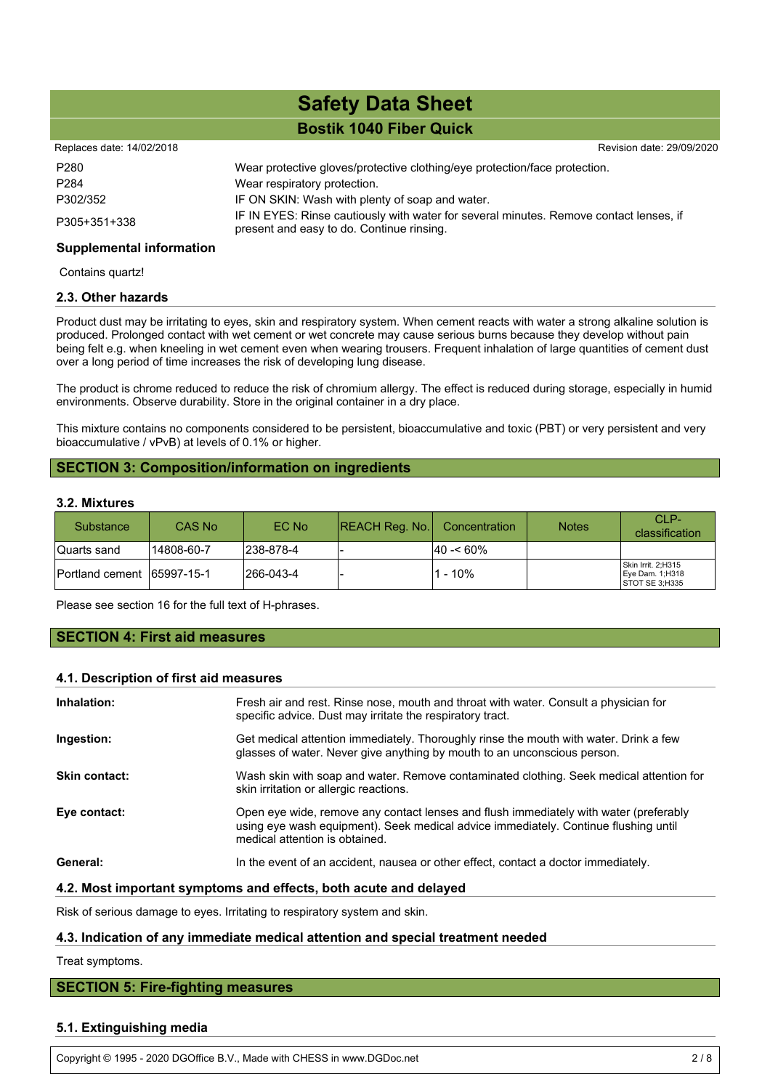| Replaces date: 14/02/2018 |                                                                                                                                     | Revision date: 29/09/2020 |
|---------------------------|-------------------------------------------------------------------------------------------------------------------------------------|---------------------------|
| P280                      | Wear protective gloves/protective clothing/eye protection/face protection.                                                          |                           |
| P284                      | Wear respiratory protection.                                                                                                        |                           |
| P302/352                  | IF ON SKIN: Wash with plenty of soap and water.                                                                                     |                           |
| P305+351+338              | IF IN EYES: Rinse cautiously with water for several minutes. Remove contact lenses, if<br>present and easy to do. Continue rinsing. |                           |
|                           |                                                                                                                                     |                           |

### **Supplemental information**

Contains quartz!

### **2.3. Other hazards**

Product dust may be irritating to eyes, skin and respiratory system. When cement reacts with water a strong alkaline solution is produced. Prolonged contact with wet cement or wet concrete may cause serious burns because they develop without pain being felt e.g. when kneeling in wet cement even when wearing trousers. Frequent inhalation of large quantities of cement dust over a long period of time increases the risk of developing lung disease.

The product is chrome reduced to reduce the risk of chromium allergy. The effect is reduced during storage, especially in humid environments. Observe durability. Store in the original container in a dry place.

This mixture contains no components considered to be persistent, bioaccumulative and toxic (PBT) or very persistent and very bioaccumulative / vPvB) at levels of 0.1% or higher.

### **SECTION 3: Composition/information on ingredients**

### **3.2. Mixtures**

| <b>Substance</b>            | CAS No     | EC No      | $ REACH$ Reg. No. | Concentration | <b>Notes</b> | CLP-<br>classification                                  |
|-----------------------------|------------|------------|-------------------|---------------|--------------|---------------------------------------------------------|
| Quarts sand                 | 14808-60-7 | 1238-878-4 |                   | $ 40 - 60\% $ |              |                                                         |
| Portland cement 165997-15-1 |            | l266-043-4 |                   | - 10%         |              | Skin Irrit. 2;H315<br>Eye Dam. 1;H318<br>STOT SE 3;H335 |

Please see section 16 for the full text of H-phrases.

**SECTION 4: First aid measures**

### **4.1. Description of first aid measures**

| Inhalation:          | Fresh air and rest. Rinse nose, mouth and throat with water. Consult a physician for<br>specific advice. Dust may irritate the respiratory tract.                                                              |
|----------------------|----------------------------------------------------------------------------------------------------------------------------------------------------------------------------------------------------------------|
| Ingestion:           | Get medical attention immediately. Thoroughly rinse the mouth with water. Drink a few<br>glasses of water. Never give anything by mouth to an unconscious person.                                              |
| <b>Skin contact:</b> | Wash skin with soap and water. Remove contaminated clothing. Seek medical attention for<br>skin irritation or allergic reactions.                                                                              |
| Eye contact:         | Open eye wide, remove any contact lenses and flush immediately with water (preferably<br>using eye wash equipment). Seek medical advice immediately. Continue flushing until<br>medical attention is obtained. |
| General:             | In the event of an accident, nausea or other effect, contact a doctor immediately.                                                                                                                             |
|                      |                                                                                                                                                                                                                |

### **4.2. Most important symptoms and effects, both acute and delayed**

Risk of serious damage to eyes. Irritating to respiratory system and skin.

### **4.3. Indication of any immediate medical attention and special treatment needed**

Treat symptoms.

### **SECTION 5: Fire-fighting measures**

### **5.1. Extinguishing media**

Copyright © 1995 - 2020 DGOffice B.V., Made with CHESS in www.DGDoc.net 2 / 8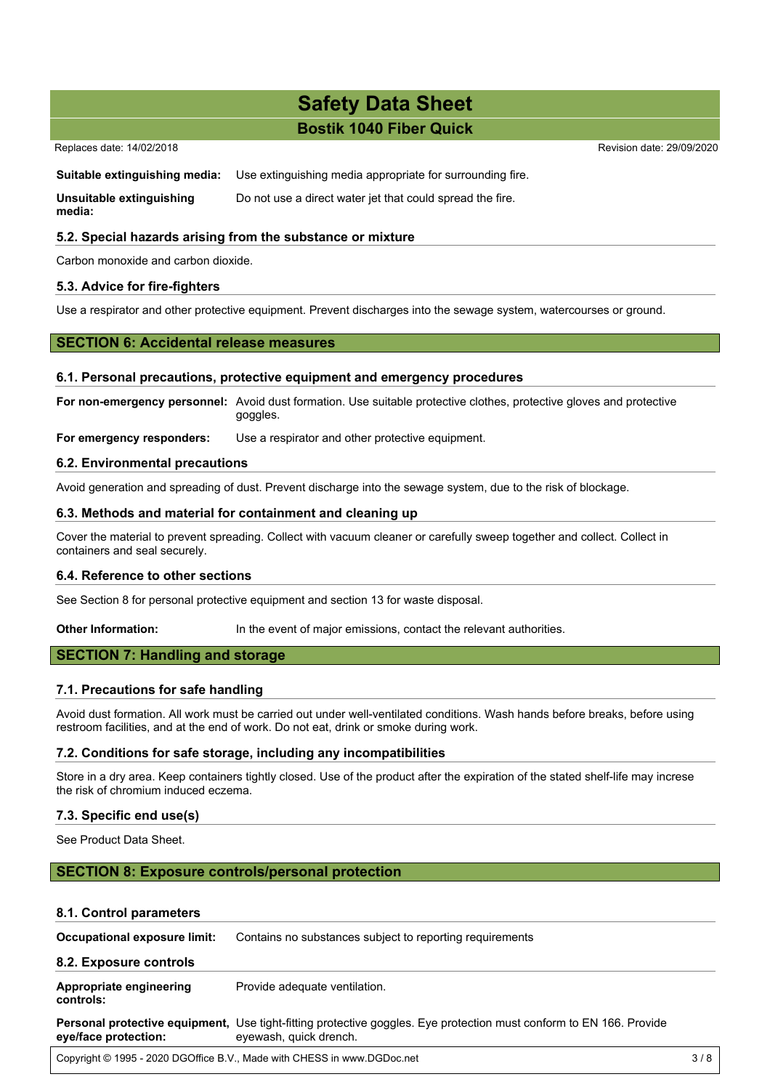Replaces date: 14/02/2018 Revision date: 29/09/2020

### **Suitable extinguishing media:** Use extinguishing media appropriate for surrounding fire.

**Unsuitable extinguishing media:** Do not use a direct water jet that could spread the fire.

### **5.2. Special hazards arising from the substance or mixture**

Carbon monoxide and carbon dioxide.

### **5.3. Advice for fire-fighters**

Use a respirator and other protective equipment. Prevent discharges into the sewage system, watercourses or ground.

### **SECTION 6: Accidental release measures**

### **6.1. Personal precautions, protective equipment and emergency procedures**

**For non-emergency personnel:** Avoid dust formation. Use suitable protective clothes, protective gloves and protective goggles.

**For emergency responders:** Use a respirator and other protective equipment.

### **6.2. Environmental precautions**

Avoid generation and spreading of dust. Prevent discharge into the sewage system, due to the risk of blockage.

### **6.3. Methods and material for containment and cleaning up**

Cover the material to prevent spreading. Collect with vacuum cleaner or carefully sweep together and collect. Collect in containers and seal securely.

### **6.4. Reference to other sections**

See Section 8 for personal protective equipment and section 13 for waste disposal.

**Other Information:** In the event of major emissions, contact the relevant authorities.

### **SECTION 7: Handling and storage**

### **7.1. Precautions for safe handling**

Avoid dust formation. All work must be carried out under well-ventilated conditions. Wash hands before breaks, before using restroom facilities, and at the end of work. Do not eat, drink or smoke during work.

### **7.2. Conditions for safe storage, including any incompatibilities**

Store in a dry area. Keep containers tightly closed. Use of the product after the expiration of the stated shelf-life may increse the risk of chromium induced eczema.

### **7.3. Specific end use(s)**

See Product Data Sheet.

### **SECTION 8: Exposure controls/personal protection**

### **8.1. Control parameters**

| Occupational exposure limit:         | Contains no substances subject to reporting requirements                                                                                      |     |  |
|--------------------------------------|-----------------------------------------------------------------------------------------------------------------------------------------------|-----|--|
| 8.2. Exposure controls               |                                                                                                                                               |     |  |
| Appropriate engineering<br>controls: | Provide adequate ventilation.                                                                                                                 |     |  |
| eye/face protection:                 | Personal protective equipment, Use tight-fitting protective goggles. Eye protection must conform to EN 166. Provide<br>eyewash, quick drench. |     |  |
|                                      | Copyright © 1995 - 2020 DGOffice B.V., Made with CHESS in www.DGDoc.net                                                                       | 3/8 |  |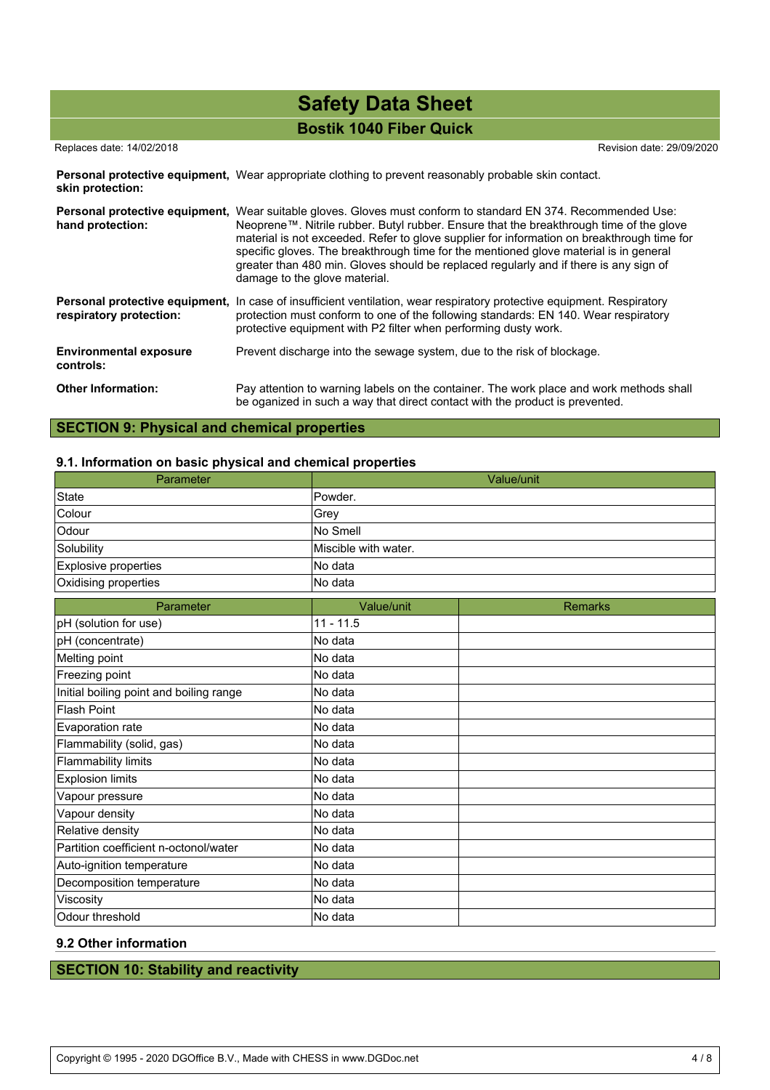### Replaces date: 14/02/2018 Revision date: 29/09/2020

Personal protective equipment, Wear appropriate clothing to prevent reasonably probable skin contact. **skin protection:**

| Personal protective equipment,<br>hand protection: | Wear suitable gloves. Gloves must conform to standard EN 374. Recommended Use:<br>Neoprene™. Nitrile rubber. Butyl rubber. Ensure that the breakthrough time of the glove<br>material is not exceeded. Refer to glove supplier for information on breakthrough time for<br>specific gloves. The breakthrough time for the mentioned glove material is in general<br>greater than 480 min. Gloves should be replaced regularly and if there is any sign of<br>damage to the glove material. |
|----------------------------------------------------|--------------------------------------------------------------------------------------------------------------------------------------------------------------------------------------------------------------------------------------------------------------------------------------------------------------------------------------------------------------------------------------------------------------------------------------------------------------------------------------------|
| respiratory protection:                            | Personal protective equipment, In case of insufficient ventilation, wear respiratory protective equipment. Respiratory<br>protection must conform to one of the following standards: EN 140. Wear respiratory<br>protective equipment with P2 filter when performing dusty work.                                                                                                                                                                                                           |
| <b>Environmental exposure</b><br>controls:         | Prevent discharge into the sewage system, due to the risk of blockage.                                                                                                                                                                                                                                                                                                                                                                                                                     |
| <b>Other Information:</b>                          | Pay attention to warning labels on the container. The work place and work methods shall<br>be oganized in such a way that direct contact with the product is prevented.                                                                                                                                                                                                                                                                                                                    |

## **SECTION 9: Physical and chemical properties**

### **9.1. Information on basic physical and chemical properties**

| Parameter                               |                      | Value/unit     |
|-----------------------------------------|----------------------|----------------|
| <b>State</b>                            | Powder.              |                |
| Colour                                  | Grey                 |                |
| Odour                                   | No Smell             |                |
| Solubility                              | Miscible with water. |                |
| Explosive properties                    | No data              |                |
| Oxidising properties                    | No data              |                |
| Parameter                               | Value/unit           | <b>Remarks</b> |
| pH (solution for use)                   | $11 - 11.5$          |                |
| pH (concentrate)                        | No data              |                |
| Melting point                           | No data              |                |
| Freezing point                          | No data              |                |
| Initial boiling point and boiling range | No data              |                |
| <b>Flash Point</b>                      | No data              |                |
| Evaporation rate                        | No data              |                |
| Flammability (solid, gas)               | No data              |                |
| <b>Flammability limits</b>              | No data              |                |
| <b>Explosion limits</b>                 | No data              |                |
| Vapour pressure                         | No data              |                |
| Vapour density                          | No data              |                |
| Relative density                        | No data              |                |
| Partition coefficient n-octonol/water   | No data              |                |
| Auto-ignition temperature               | No data              |                |
| Decomposition temperature               | No data              |                |
| Viscosity                               | No data              |                |
| Odour threshold                         | No data              |                |

## **9.2 Other information**

## **SECTION 10: Stability and reactivity**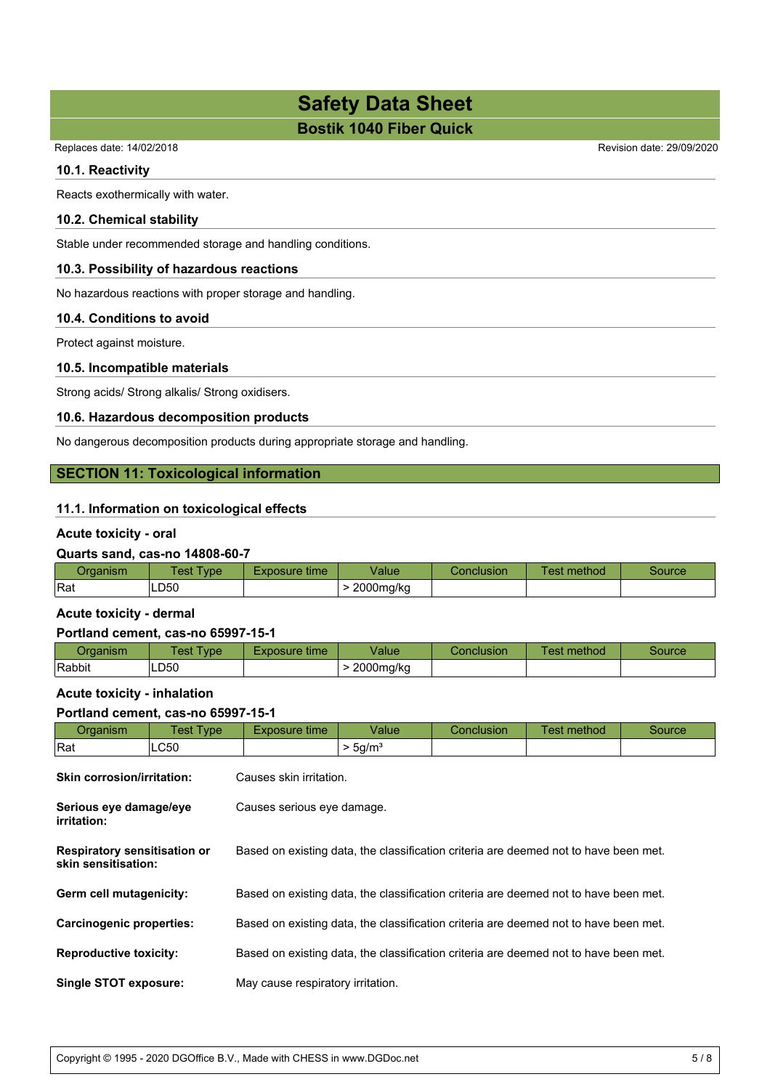Replaces date: 14/02/2018 Revision date: 29/09/2020

### **10.1. Reactivity**

Reacts exothermically with water.

### **10.2. Chemical stability**

Stable under recommended storage and handling conditions.

### **10.3. Possibility of hazardous reactions**

No hazardous reactions with proper storage and handling.

### **10.4. Conditions to avoid**

Protect against moisture.

### **10.5. Incompatible materials**

Strong acids/ Strong alkalis/ Strong oxidisers.

### **10.6. Hazardous decomposition products**

No dangerous decomposition products during appropriate storage and handling.

### **SECTION 11: Toxicological information**

### **11.1. Information on toxicological effects**

### **Acute toxicity - oral**

### **Quarts sand, cas-no 14808-60-7**

| <i><u>Iranniem</u></i><br>uanishi | 'est<br><b>vpe</b> | Exposure time | /alue     | <b>Conclusion</b> | _<br>. .<br>method<br>est | source |
|-----------------------------------|--------------------|---------------|-----------|-------------------|---------------------------|--------|
| Rat                               | LD50               |               | 2000mg/kg |                   |                           |        |

### **Acute toxicity - dermal**

### **Portland cement, cas-no 65997-15-1**

| <b>Draanism</b> | <b>Fest Type</b> | time<br>-xposure | Value     | Conclusion | method<br>est- | Source |
|-----------------|------------------|------------------|-----------|------------|----------------|--------|
| Rabbit          | LD <sub>50</sub> |                  | 2000mg/kg |            |                |        |

### **Acute toxicity - inhalation**

### **Portland cement, cas-no 65997-15-1**

| Organism                                                   | <b>Test Type</b> | Exposure time                                                                        | Value               | Conclusion | Test method | Source |  |
|------------------------------------------------------------|------------------|--------------------------------------------------------------------------------------|---------------------|------------|-------------|--------|--|
| Rat                                                        | LC50             |                                                                                      | > 5g/m <sup>3</sup> |            |             |        |  |
| <b>Skin corrosion/irritation:</b>                          |                  | Causes skin irritation.                                                              |                     |            |             |        |  |
| Serious eye damage/eye<br>irritation:                      |                  | Causes serious eye damage.                                                           |                     |            |             |        |  |
| <b>Respiratory sensitisation or</b><br>skin sensitisation: |                  | Based on existing data, the classification criteria are deemed not to have been met. |                     |            |             |        |  |
| Germ cell mutagenicity:                                    |                  | Based on existing data, the classification criteria are deemed not to have been met. |                     |            |             |        |  |
| <b>Carcinogenic properties:</b>                            |                  | Based on existing data, the classification criteria are deemed not to have been met. |                     |            |             |        |  |
| <b>Reproductive toxicity:</b>                              |                  | Based on existing data, the classification criteria are deemed not to have been met. |                     |            |             |        |  |
| <b>Single STOT exposure:</b>                               |                  | May cause respiratory irritation.                                                    |                     |            |             |        |  |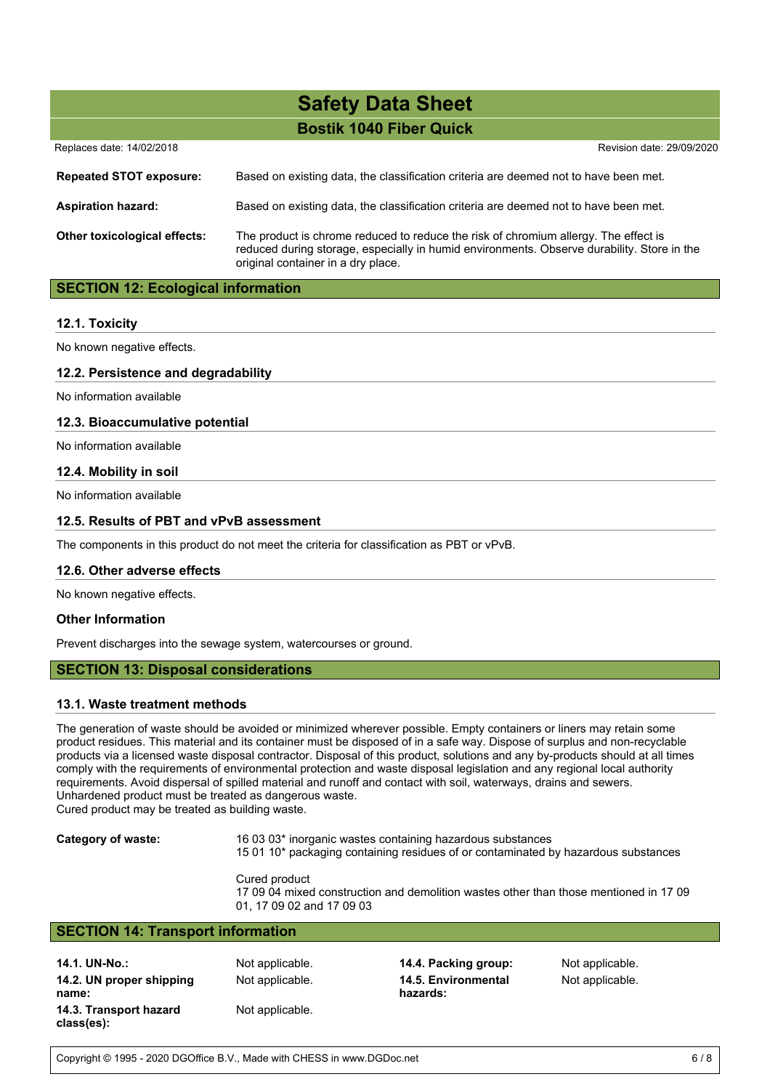| Replaces date: 14/02/2018           | Revision date: 29/09/2020                                                                                                                                                                                               |
|-------------------------------------|-------------------------------------------------------------------------------------------------------------------------------------------------------------------------------------------------------------------------|
| <b>Repeated STOT exposure:</b>      | Based on existing data, the classification criteria are deemed not to have been met.                                                                                                                                    |
| <b>Aspiration hazard:</b>           | Based on existing data, the classification criteria are deemed not to have been met.                                                                                                                                    |
| <b>Other toxicological effects:</b> | The product is chrome reduced to reduce the risk of chromium allergy. The effect is<br>reduced during storage, especially in humid environments. Observe durability. Store in the<br>original container in a dry place. |

### **SECTION 12: Ecological information**

### **12.1. Toxicity**

No known negative effects.

### **12.2. Persistence and degradability**

No information available

### **12.3. Bioaccumulative potential**

No information available

### **12.4. Mobility in soil**

No information available

### **12.5. Results of PBT and vPvB assessment**

The components in this product do not meet the criteria for classification as PBT or vPvB.

### **12.6. Other adverse effects**

No known negative effects.

### **Other Information**

Prevent discharges into the sewage system, watercourses or ground.

### **SECTION 13: Disposal considerations**

### **13.1. Waste treatment methods**

The generation of waste should be avoided or minimized wherever possible. Empty containers or liners may retain some product residues. This material and its container must be disposed of in a safe way. Dispose of surplus and non-recyclable products via a licensed waste disposal contractor. Disposal of this product, solutions and any by-products should at all times comply with the requirements of environmental protection and waste disposal legislation and any regional local authority requirements. Avoid dispersal of spilled material and runoff and contact with soil, waterways, drains and sewers. Unhardened product must be treated as dangerous waste.

Cured product may be treated as building waste.

**Category of waste:** 16 03 03\* inorganic wastes containing hazardous substances

15 01 10\* packaging containing residues of or contaminated by hazardous substances

Cured product 17 09 04 mixed construction and demolition wastes other than those mentioned in 17 09 01, 17 09 02 and 17 09 03

### **SECTION 14: Transport information**

**14.1. UN-No.:** Not applicable. **14.4. Packing group:** Not applicable. **14.2. UN proper shipping name: 14.3. Transport hazard class(es):**

Not applicable.

Not applicable. **14.5. Environmental hazards:**

Not applicable.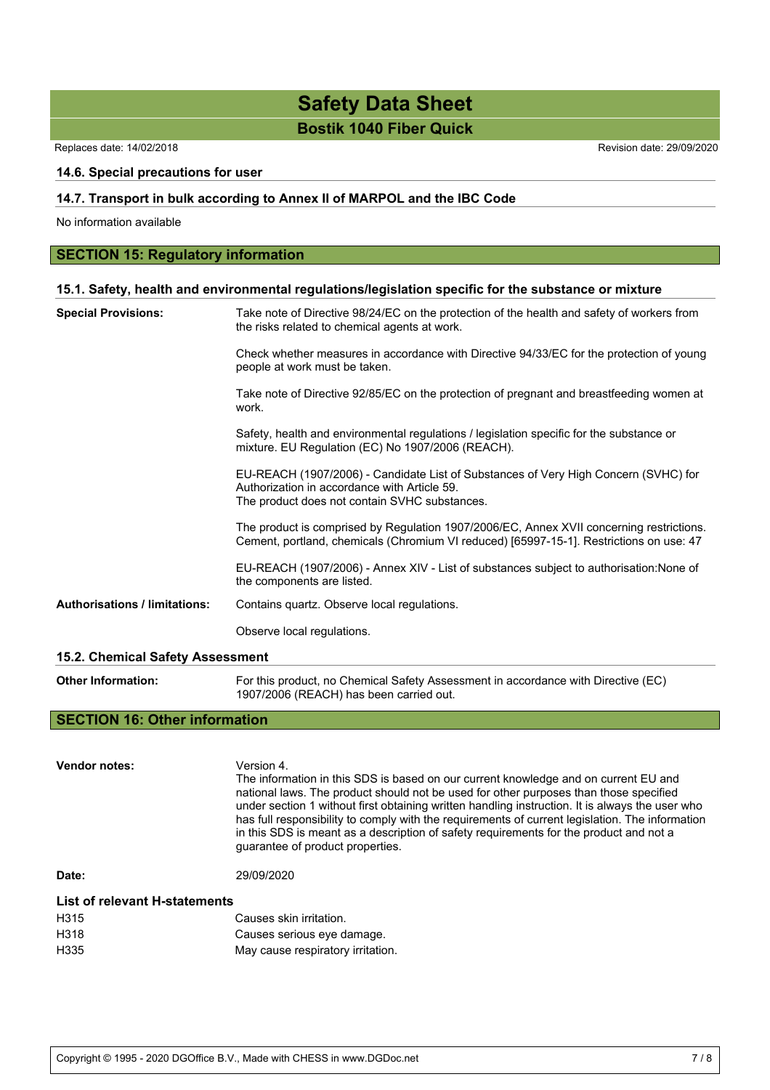Replaces date: 14/02/2018 Revision date: 29/09/2020

### **14.6. Special precautions for user**

### **14.7. Transport in bulk according to Annex II of MARPOL and the IBC Code**

No information available

### **SECTION 15: Regulatory information**

### **15.1. Safety, health and environmental regulations/legislation specific for the substance or mixture**

| <b>Special Provisions:</b>           | Take note of Directive 98/24/EC on the protection of the health and safety of workers from<br>the risks related to chemical agents at work.                                          |
|--------------------------------------|--------------------------------------------------------------------------------------------------------------------------------------------------------------------------------------|
|                                      | Check whether measures in accordance with Directive 94/33/EC for the protection of young<br>people at work must be taken.                                                            |
|                                      | Take note of Directive 92/85/EC on the protection of pregnant and breastfeeding women at<br>work.                                                                                    |
|                                      | Safety, health and environmental regulations / legislation specific for the substance or<br>mixture. EU Regulation (EC) No 1907/2006 (REACH).                                        |
|                                      | EU-REACH (1907/2006) - Candidate List of Substances of Very High Concern (SVHC) for<br>Authorization in accordance with Article 59.<br>The product does not contain SVHC substances. |
|                                      | The product is comprised by Regulation 1907/2006/EC, Annex XVII concerning restrictions.<br>Cement, portland, chemicals (Chromium VI reduced) [65997-15-1]. Restrictions on use: 47  |
|                                      | EU-REACH (1907/2006) - Annex XIV - List of substances subject to authorisation: None of<br>the components are listed.                                                                |
| <b>Authorisations / limitations:</b> | Contains quartz. Observe local regulations.                                                                                                                                          |
|                                      | Observe local regulations.                                                                                                                                                           |
| 15.2. Chemical Safety Assessment     |                                                                                                                                                                                      |

**Other Information:** For this product, no Chemical Safety Assessment in accordance with Directive (EC) 1907/2006 (REACH) has been carried out.

### **SECTION 16: Other information**

**Vendor notes:** Version 4. The information in this SDS is based on our current knowledge and on current EU and national laws. The product should not be used for other purposes than those specified under section 1 without first obtaining written handling instruction. It is always the user who has full responsibility to comply with the requirements of current legislation. The information in this SDS is meant as a description of safety requirements for the product and not a guarantee of product properties. **Date:** 29/09/2020 **List of relevant H-statements** H315 Causes skin irritation. H318 Causes serious eye damage. H335 May cause respiratory irritation.